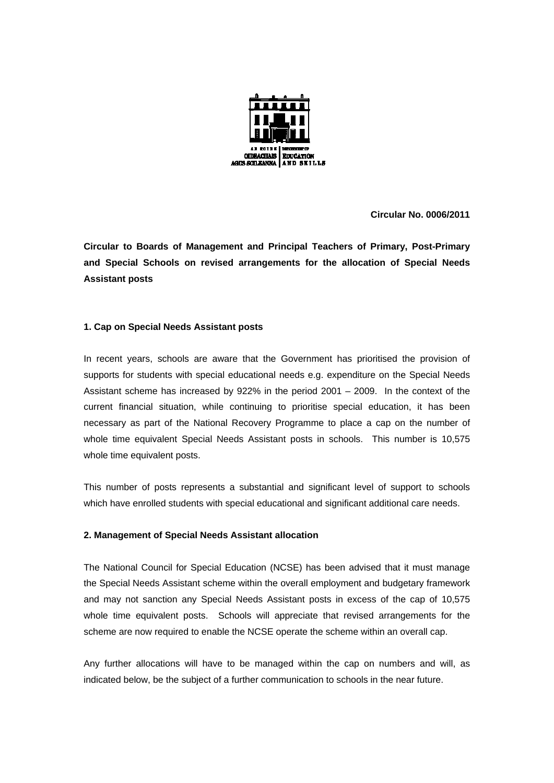

**Circular No. 0006/2011** 

**Circular to Boards of Management and Principal Teachers of Primary, Post-Primary and Special Schools on revised arrangements for the allocation of Special Needs Assistant posts** 

## **1. Cap on Special Needs Assistant posts**

In recent years, schools are aware that the Government has prioritised the provision of supports for students with special educational needs e.g. expenditure on the Special Needs Assistant scheme has increased by 922% in the period 2001 – 2009. In the context of the current financial situation, while continuing to prioritise special education, it has been necessary as part of the National Recovery Programme to place a cap on the number of whole time equivalent Special Needs Assistant posts in schools. This number is 10,575 whole time equivalent posts.

This number of posts represents a substantial and significant level of support to schools which have enrolled students with special educational and significant additional care needs.

## **2. Management of Special Needs Assistant allocation**

The National Council for Special Education (NCSE) has been advised that it must manage the Special Needs Assistant scheme within the overall employment and budgetary framework and may not sanction any Special Needs Assistant posts in excess of the cap of 10,575 whole time equivalent posts. Schools will appreciate that revised arrangements for the scheme are now required to enable the NCSE operate the scheme within an overall cap.

Any further allocations will have to be managed within the cap on numbers and will, as indicated below, be the subject of a further communication to schools in the near future.